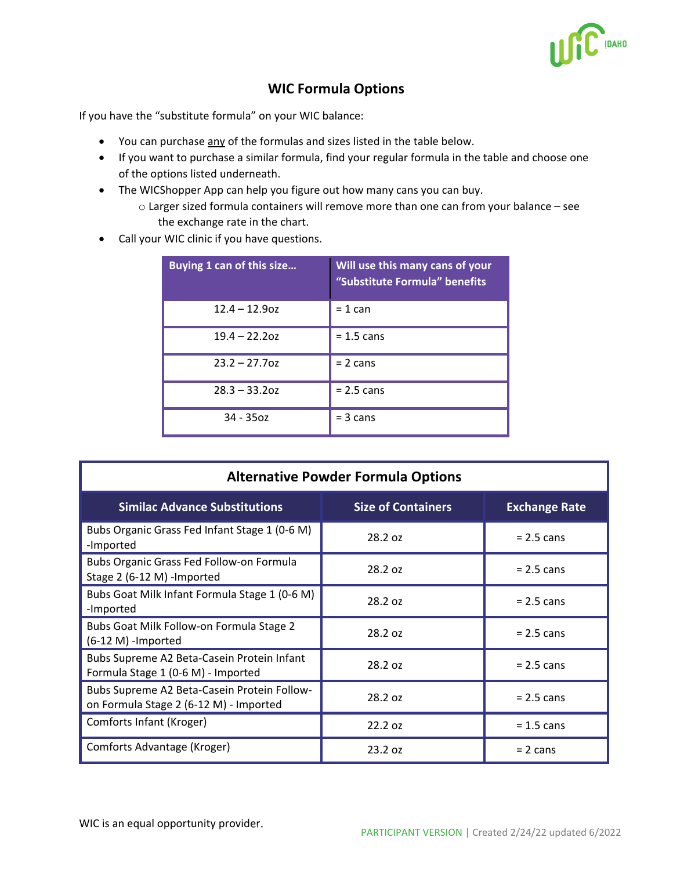

## **WIC Formula Options**

If you have the "substitute formula" on your WIC balance:

- You can purchase any of the formulas and sizes listed in the table below.
- If you want to purchase a similar formula, find your regular formula in the table and choose one of the options listed underneath.
- The WICShopper App can help you figure out how many cans you can buy.
	- o Larger sized formula containers will remove more than one can from your balance see the exchange rate in the chart.
- Call your WIC clinic if you have questions.

| Buying 1 can of this size | Will use this many cans of your<br>"Substitute Formula" benefits |
|---------------------------|------------------------------------------------------------------|
| $12.4 - 12.9$ oz          | $= 1$ can                                                        |
| $19.4 - 22.2$ oz          | $= 1.5$ cans                                                     |
| $23.2 - 27.7$ oz          | $= 2 \text{ cans}$                                               |
| $28.3 - 33.2$ oz          | $= 2.5$ cans                                                     |
| $34 - 350z$               | $=$ 3 cans                                                       |

| <b>Alternative Powder Formula Options</b>                                             |                           |                      |  |
|---------------------------------------------------------------------------------------|---------------------------|----------------------|--|
| <b>Similac Advance Substitutions</b>                                                  | <b>Size of Containers</b> | <b>Exchange Rate</b> |  |
| Bubs Organic Grass Fed Infant Stage 1 (0-6 M)<br>-Imported                            | 28.2 oz                   | $= 2.5$ cans         |  |
| Bubs Organic Grass Fed Follow-on Formula<br>Stage 2 (6-12 M) - Imported               | 28.2 oz                   | $= 2.5$ cans         |  |
| Bubs Goat Milk Infant Formula Stage 1 (0-6 M)<br>-Imported                            | 28.2 oz                   | $= 2.5$ cans         |  |
| Bubs Goat Milk Follow-on Formula Stage 2<br>(6-12 M) -Imported                        | 28.2 oz                   | $= 2.5$ cans         |  |
| Bubs Supreme A2 Beta-Casein Protein Infant<br>Formula Stage 1 (0-6 M) - Imported      | 28.2 oz                   | $= 2.5$ cans         |  |
| Bubs Supreme A2 Beta-Casein Protein Follow-<br>on Formula Stage 2 (6-12 M) - Imported | 28.2 oz                   | $= 2.5$ cans         |  |
| Comforts Infant (Kroger)                                                              | 22.2 oz                   | $= 1.5$ cans         |  |
| Comforts Advantage (Kroger)                                                           | 23.2 oz                   | $= 2 \text{ cans}$   |  |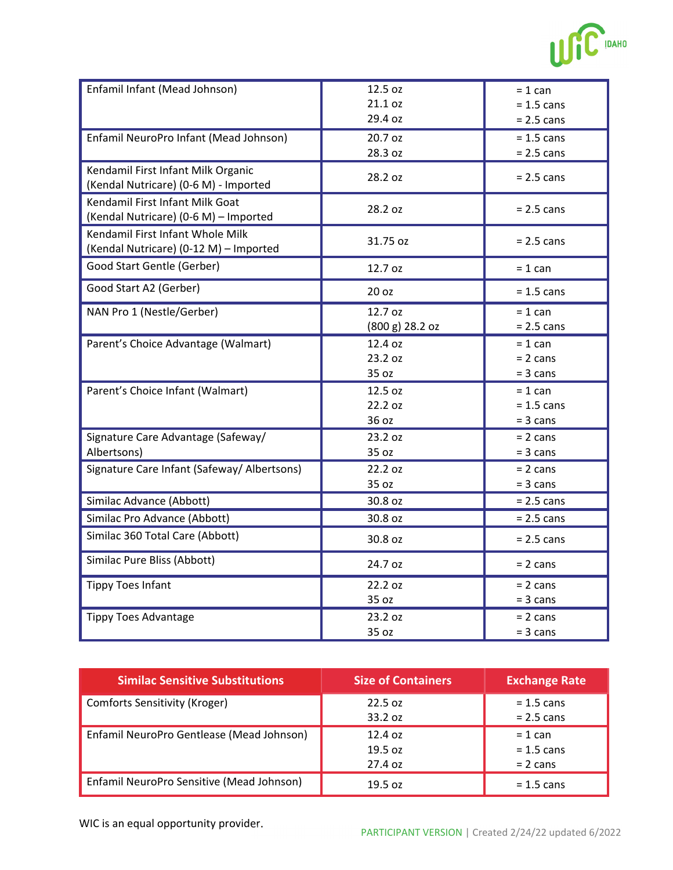| Enfamil Infant (Mead Johnson)                                               | 12.5 oz                    | $= 1$ can                         |
|-----------------------------------------------------------------------------|----------------------------|-----------------------------------|
|                                                                             | 21.1 oz                    | $= 1.5$ cans                      |
|                                                                             | 29.4 oz                    | $= 2.5 \text{ cans}$              |
| Enfamil NeuroPro Infant (Mead Johnson)                                      | 20.7 oz                    | $= 1.5$ cans                      |
|                                                                             | 28.3 oz                    | $= 2.5$ cans                      |
| Kendamil First Infant Milk Organic<br>(Kendal Nutricare) (0-6 M) - Imported | 28.2 oz                    | $= 2.5$ cans                      |
| Kendamil First Infant Milk Goat<br>(Kendal Nutricare) (0-6 M) - Imported    | 28.2 oz                    | $= 2.5$ cans                      |
| Kendamil First Infant Whole Milk<br>(Kendal Nutricare) (0-12 M) - Imported  | 31.75 oz                   | $= 2.5$ cans                      |
| Good Start Gentle (Gerber)                                                  | $12.7$ oz                  | $= 1$ can                         |
| Good Start A2 (Gerber)                                                      | 20 oz                      | $= 1.5$ cans                      |
| NAN Pro 1 (Nestle/Gerber)                                                   | 12.7 oz<br>(800 g) 28.2 oz | $= 1$ can<br>$= 2.5 \text{ cans}$ |
| Parent's Choice Advantage (Walmart)                                         | 12.4 oz                    | $= 1$ can                         |
|                                                                             | 23.2 oz                    | $= 2 \text{ cans}$                |
|                                                                             | 35 oz                      | $= 3 \text{ cans}$                |
| Parent's Choice Infant (Walmart)                                            | 12.5 oz                    | $= 1$ can                         |
|                                                                             | 22.2 oz                    | $= 1.5$ cans                      |
|                                                                             | 36 oz                      | $= 3 \text{ cans}$                |
| Signature Care Advantage (Safeway/                                          | 23.2 oz                    | $= 2 \text{ cans}$                |
| Albertsons)                                                                 | 35 oz                      | $= 3 \text{ cans}$                |
| Signature Care Infant (Safeway/ Albertsons)                                 | 22.2 oz                    | $= 2 \text{ cans}$                |
|                                                                             | 35 oz                      | $= 3 \text{ cans}$                |
| Similac Advance (Abbott)                                                    | 30.8 oz                    | $= 2.5 \text{ cans}$              |
| Similac Pro Advance (Abbott)                                                | 30.8 oz                    | $= 2.5$ cans                      |
| Similac 360 Total Care (Abbott)                                             | 30.8 oz                    | $= 2.5 \text{ cans}$              |
| Similac Pure Bliss (Abbott)                                                 | 24.7 oz                    | $= 2 \text{ cans}$                |
| <b>Tippy Toes Infant</b>                                                    | 22.2 oz                    | $= 2 \text{ cans}$                |
|                                                                             | 35 oz                      | $= 3 \text{ cans}$                |
| <b>Tippy Toes Advantage</b>                                                 | 23.2 oz                    | $= 2 \text{ cans}$                |
|                                                                             | 35 oz                      | $=$ 3 cans                        |

| <b>Similac Sensitive Substitutions</b>    | <b>Size of Containers</b> | <b>Exchange Rate</b> |
|-------------------------------------------|---------------------------|----------------------|
| Comforts Sensitivity (Kroger)             | $22.5$ oz                 | $= 1.5$ cans         |
|                                           | 33.2 oz                   | $= 2.5 \text{ cans}$ |
| Enfamil NeuroPro Gentlease (Mead Johnson) | 12.4 oz                   | $= 1$ can            |
|                                           | 19.5 oz                   | $= 1.5$ cans         |
|                                           | 27.4 oz                   | $= 2 \text{ cans}$   |
| Enfamil NeuroPro Sensitive (Mead Johnson) | 19.5 oz                   | $= 1.5$ cans         |

USC IDAHO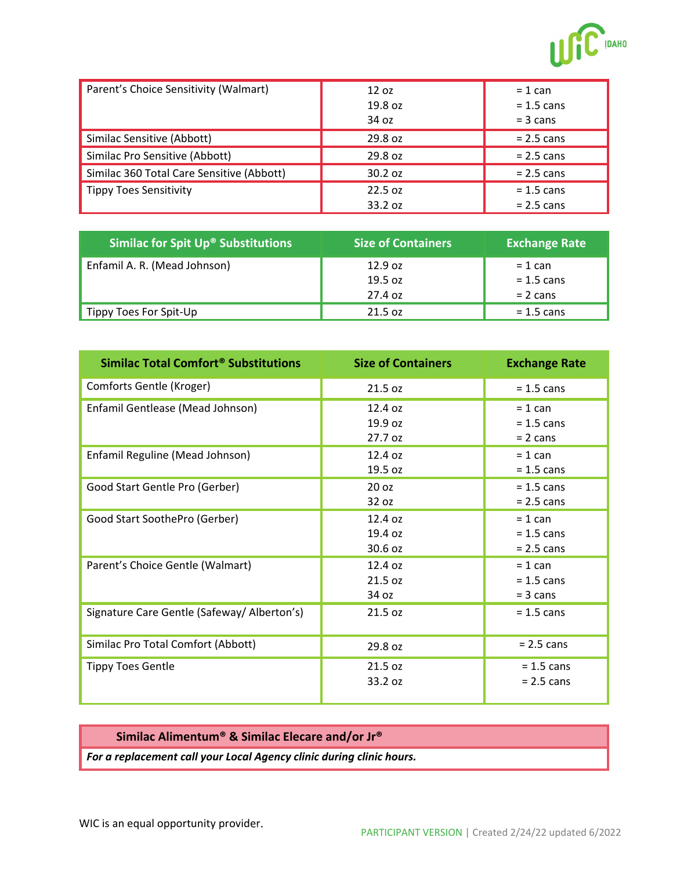

| Parent's Choice Sensitivity (Walmart)     | 12 oz<br>19.8 oz<br>34 oz | $= 1$ can<br>$= 1.5$ cans<br>$= 3 \text{ cans}$ |
|-------------------------------------------|---------------------------|-------------------------------------------------|
| Similac Sensitive (Abbott)                | 29.8 oz                   | $= 2.5 \text{ cans}$                            |
| Similac Pro Sensitive (Abbott)            | 29.8 oz                   | $= 2.5 \text{ cans}$                            |
| Similac 360 Total Care Sensitive (Abbott) | 30.2 oz                   | $= 2.5 \text{ cans}$                            |
| <b>Tippy Toes Sensitivity</b>             | 22.5 oz                   | $= 1.5$ cans                                    |
|                                           | 33.2 oz                   | $= 2.5 \text{ cans}$                            |

| <b>Similac for Spit Up® Substitutions</b> | <b>Size of Containers</b> | <b>Exchange Rate</b> |
|-------------------------------------------|---------------------------|----------------------|
| Enfamil A. R. (Mead Johnson)              | 12.9 oz                   | $= 1$ can            |
|                                           | 19.5 oz                   | $= 1.5$ cans         |
|                                           | 27.4 oz                   | $= 2 \text{ cans}$   |
| Tippy Toes For Spit-Up                    | 21.5 oz                   | $= 1.5$ cans         |

| <b>Similac Total Comfort<sup>®</sup> Substitutions</b> | <b>Size of Containers</b>                | <b>Exchange Rate</b>                            |
|--------------------------------------------------------|------------------------------------------|-------------------------------------------------|
| Comforts Gentle (Kroger)                               | 21.5 oz                                  | $= 1.5$ cans                                    |
| Enfamil Gentlease (Mead Johnson)                       | 12.4 oz<br>19.9 <sub>oz</sub><br>27.7 oz | $= 1$ can<br>$= 1.5$ cans<br>$= 2 \text{ cans}$ |
| Enfamil Reguline (Mead Johnson)                        | 12.4 oz<br>19.5 oz                       | $= 1$ can<br>$= 1.5$ cans                       |
| Good Start Gentle Pro (Gerber)                         | 20 oz<br>32 oz                           | $= 1.5$ cans<br>$= 2.5$ cans                    |
| Good Start SoothePro (Gerber)                          | 12.4 oz<br>19.4 oz<br>30.6 oz            | $= 1$ can<br>$= 1.5$ cans<br>$= 2.5$ cans       |
| Parent's Choice Gentle (Walmart)                       | 12.4 oz<br>21.5 oz<br>34 oz              | $= 1$ can<br>$= 1.5$ cans<br>$= 3 \text{ cans}$ |
| Signature Care Gentle (Safeway/Alberton's)             | 21.5 oz                                  | $= 1.5$ cans                                    |
| Similac Pro Total Comfort (Abbott)                     | 29.8 oz                                  | $= 2.5 \text{ cans}$                            |
| <b>Tippy Toes Gentle</b>                               | 21.5 oz<br>33.2 oz                       | $= 1.5$ cans<br>$= 2.5$ cans                    |

## **Similac Alimentum® & Similac Elecare and/or Jr®**

*For a replacement call your Local Agency clinic during clinic hours.*